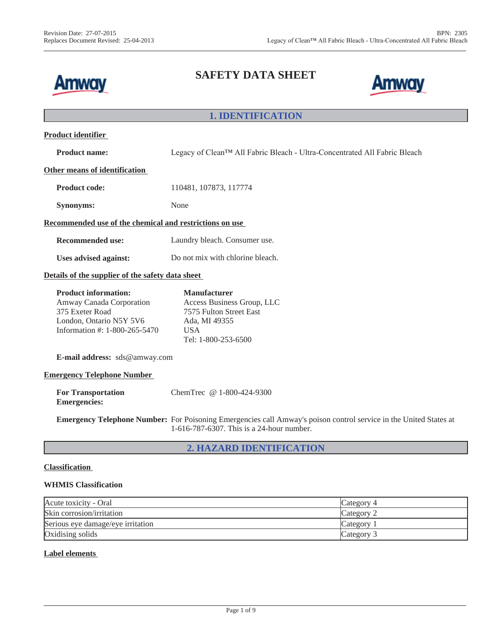

# **SAFETY DATA SHEET**

**\_\_\_\_\_\_\_\_\_\_\_\_\_\_\_\_\_\_\_\_\_\_\_\_\_\_\_\_\_\_\_\_\_\_\_\_\_\_\_\_\_\_\_\_\_\_\_\_\_\_\_\_\_\_\_\_\_\_\_\_\_\_\_\_\_\_\_\_\_\_\_\_\_\_\_\_\_\_\_\_\_\_\_\_\_\_\_\_\_\_\_\_\_\_\_\_\_\_\_\_\_\_\_\_\_\_\_\_\_\_\_\_\_\_\_\_\_\_\_\_\_\_\_\_\_\_\_\_\_\_**



## **1. IDENTIFICATION**

| <b>Product identifier</b>                                                                                                              |                                                                                                                                                                       |  |
|----------------------------------------------------------------------------------------------------------------------------------------|-----------------------------------------------------------------------------------------------------------------------------------------------------------------------|--|
| <b>Product name:</b>                                                                                                                   | Legacy of Clean™ All Fabric Bleach - Ultra-Concentrated All Fabric Bleach                                                                                             |  |
| Other means of identification                                                                                                          |                                                                                                                                                                       |  |
| <b>Product code:</b>                                                                                                                   | 110481, 107873, 117774                                                                                                                                                |  |
| <b>Synonyms:</b>                                                                                                                       | None                                                                                                                                                                  |  |
| Recommended use of the chemical and restrictions on use                                                                                |                                                                                                                                                                       |  |
| <b>Recommended use:</b>                                                                                                                | Laundry bleach. Consumer use.                                                                                                                                         |  |
| Uses advised against:                                                                                                                  | Do not mix with chlorine bleach.                                                                                                                                      |  |
| Details of the supplier of the safety data sheet                                                                                       |                                                                                                                                                                       |  |
| <b>Product information:</b><br>Amway Canada Corporation<br>375 Exeter Road<br>London, Ontario N5Y 5V6<br>Information #: 1-800-265-5470 | <b>Manufacturer</b><br>Access Business Group, LLC<br>7575 Fulton Street East<br>Ada, MI 49355<br><b>USA</b><br>Tel: 1-800-253-6500                                    |  |
| E-mail address: sds@amway.com                                                                                                          |                                                                                                                                                                       |  |
| <b>Emergency Telephone Number</b>                                                                                                      |                                                                                                                                                                       |  |
| <b>For Transportation</b><br><b>Emergencies:</b>                                                                                       | ChemTrec $@1-800-424-9300$                                                                                                                                            |  |
|                                                                                                                                        | <b>Emergency Telephone Number:</b> For Poisoning Emergencies call Amway's poison control service in the United States at<br>1-616-787-6307. This is a 24-hour number. |  |
|                                                                                                                                        |                                                                                                                                                                       |  |

## **2. HAZARD IDENTIFICATION**

### **Classification**

### **WHMIS Classification**

| Acute toxicity - Oral             | Category 4 |
|-----------------------------------|------------|
| Skin corrosion/irritation         | Category 2 |
| Serious eye damage/eye irritation | Category   |
| Oxidising solids                  | Category 3 |

### **Label elements**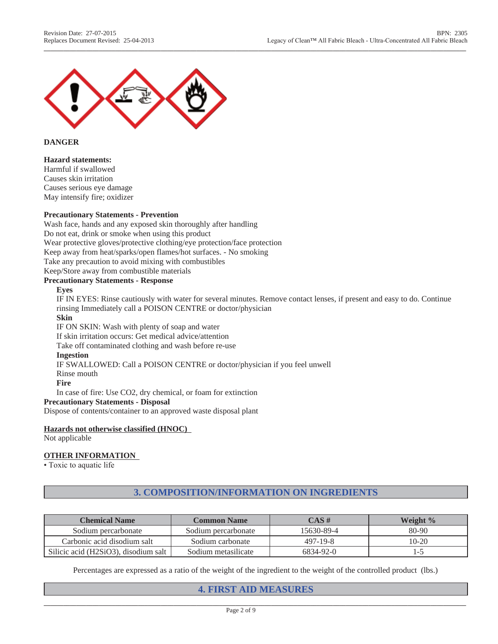

### **DANGER**

### **Hazard statements:**

Harmful if swallowed Causes skin irritation Causes serious eye damage May intensify fire; oxidizer

### **Precautionary Statements - Prevention**

Wash face, hands and any exposed skin thoroughly after handling Do not eat, drink or smoke when using this product Wear protective gloves/protective clothing/eye protection/face protection Keep away from heat/sparks/open flames/hot surfaces. - No smoking Take any precaution to avoid mixing with combustibles

Keep/Store away from combustible materials

## **Precautionary Statements - Response**

#### **Eyes**

IF IN EYES: Rinse cautiously with water for several minutes. Remove contact lenses, if present and easy to do. Continue rinsing Immediately call a POISON CENTRE or doctor/physician

**\_\_\_\_\_\_\_\_\_\_\_\_\_\_\_\_\_\_\_\_\_\_\_\_\_\_\_\_\_\_\_\_\_\_\_\_\_\_\_\_\_\_\_\_\_\_\_\_\_\_\_\_\_\_\_\_\_\_\_\_\_\_\_\_\_\_\_\_\_\_\_\_\_\_\_\_\_\_\_\_\_\_\_\_\_\_\_\_\_\_\_\_\_\_\_\_\_\_\_\_\_\_\_\_\_\_\_\_\_\_\_\_\_\_\_\_\_\_\_\_\_\_\_\_\_\_\_\_\_\_**

## **Skin**

IF ON SKIN: Wash with plenty of soap and water If skin irritation occurs: Get medical advice/attention Take off contaminated clothing and wash before re-use

#### **Ingestion**

IF SWALLOWED: Call a POISON CENTRE or doctor/physician if you feel unwell Rinse mouth **Fire**

In case of fire: Use CO2, dry chemical, or foam for extinction

### **Precautionary Statements - Disposal**

Dispose of contents/container to an approved waste disposal plant

### **Hazards not otherwise classified (HNOC)**

Not applicable

### **OTHER INFORMATION**

• Toxic to aquatic life

## **3. COMPOSITION/INFORMATION ON INGREDIENTS**

| <b>Chemical Name</b>                 | <b>Common Name</b>  | CAS #      | Weight % |
|--------------------------------------|---------------------|------------|----------|
| Sodium percarbonate                  | Sodium percarbonate | 15630-89-4 | $80-90$  |
| Carbonic acid disodium salt          | Sodium carbonate    | $497-19-8$ | $10-20$  |
| Silicic acid (H2SiO3), disodium salt | Sodium metasilicate | 6834-92-0  | l-C      |

Percentages are expressed as a ratio of the weight of the ingredient to the weight of the controlled product (lbs.)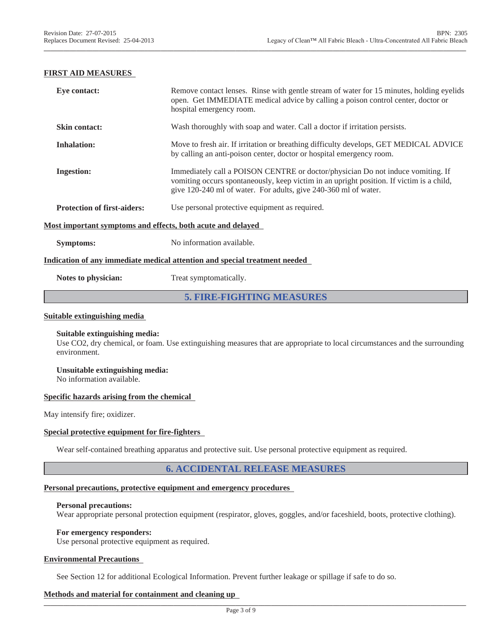### **FIRST AID MEASURES**

| Eye contact:                                                | Remove contact lenses. Rinse with gentle stream of water for 15 minutes, holding eyelids<br>open. Get IMMEDIATE medical advice by calling a poison control center, doctor or<br>hospital emergency room.                                       |  |
|-------------------------------------------------------------|------------------------------------------------------------------------------------------------------------------------------------------------------------------------------------------------------------------------------------------------|--|
| <b>Skin contact:</b>                                        | Wash thoroughly with soap and water. Call a doctor if irritation persists.                                                                                                                                                                     |  |
| <b>Inhalation:</b>                                          | Move to fresh air. If irritation or breathing difficulty develops, GET MEDICAL ADVICE<br>by calling an anti-poison center, doctor or hospital emergency room.                                                                                  |  |
| <b>Ingestion:</b>                                           | Immediately call a POISON CENTRE or doctor/physician Do not induce vomiting. If<br>vomiting occurs spontaneously, keep victim in an upright position. If victim is a child,<br>give 120-240 ml of water. For adults, give 240-360 ml of water. |  |
| <b>Protection of first-aiders:</b>                          | Use personal protective equipment as required.                                                                                                                                                                                                 |  |
| Most important symptoms and effects, both acute and delayed |                                                                                                                                                                                                                                                |  |
| <b>Symptoms:</b>                                            | No information available.                                                                                                                                                                                                                      |  |
|                                                             | Indication of any immediate medical attention and special treatment needed                                                                                                                                                                     |  |
| Notes to physician:                                         | Treat symptomatically.                                                                                                                                                                                                                         |  |

**\_\_\_\_\_\_\_\_\_\_\_\_\_\_\_\_\_\_\_\_\_\_\_\_\_\_\_\_\_\_\_\_\_\_\_\_\_\_\_\_\_\_\_\_\_\_\_\_\_\_\_\_\_\_\_\_\_\_\_\_\_\_\_\_\_\_\_\_\_\_\_\_\_\_\_\_\_\_\_\_\_\_\_\_\_\_\_\_\_\_\_\_\_\_\_\_\_\_\_\_\_\_\_\_\_\_\_\_\_\_\_\_\_\_\_\_\_\_\_\_\_\_\_\_\_\_\_\_\_\_**

## **5. FIRE-FIGHTING MEASURES**

#### **Suitable extinguishing media**

#### **Suitable extinguishing media:**

Use CO2, dry chemical, or foam. Use extinguishing measures that are appropriate to local circumstances and the surrounding environment.

**Unsuitable extinguishing media:** No information available.

#### **Specific hazards arising from the chemical**

May intensify fire; oxidizer.

#### **Special protective equipment for fire-fighters**

Wear self-contained breathing apparatus and protective suit. Use personal protective equipment as required.

### **6. ACCIDENTAL RELEASE MEASURES**

### **Personal precautions, protective equipment and emergency procedures**

#### **Personal precautions:**

Wear appropriate personal protection equipment (respirator, gloves, goggles, and/or faceshield, boots, protective clothing).

#### **For emergency responders:**

Use personal protective equipment as required.

#### **Environmental Precautions**

See Section 12 for additional Ecological Information. Prevent further leakage or spillage if safe to do so.

#### **Methods and material for containment and cleaning up**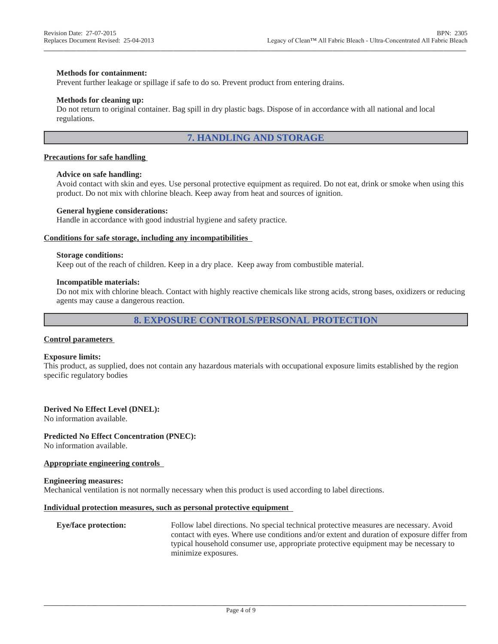#### **Methods for containment:**

Prevent further leakage or spillage if safe to do so. Prevent product from entering drains.

#### **Methods for cleaning up:**

Do not return to original container. Bag spill in dry plastic bags. Dispose of in accordance with all national and local regulations.

### **7. HANDLING AND STORAGE**

**\_\_\_\_\_\_\_\_\_\_\_\_\_\_\_\_\_\_\_\_\_\_\_\_\_\_\_\_\_\_\_\_\_\_\_\_\_\_\_\_\_\_\_\_\_\_\_\_\_\_\_\_\_\_\_\_\_\_\_\_\_\_\_\_\_\_\_\_\_\_\_\_\_\_\_\_\_\_\_\_\_\_\_\_\_\_\_\_\_\_\_\_\_\_\_\_\_\_\_\_\_\_\_\_\_\_\_\_\_\_\_\_\_\_\_\_\_\_\_\_\_\_\_\_\_\_\_\_\_\_**

#### **Precautions for safe handling**

#### **Advice on safe handling:**

Avoid contact with skin and eyes. Use personal protective equipment as required. Do not eat, drink or smoke when using this product. Do not mix with chlorine bleach. Keep away from heat and sources of ignition.

#### **General hygiene considerations:**

Handle in accordance with good industrial hygiene and safety practice.

#### **Conditions for safe storage, including any incompatibilities**

#### **Storage conditions:**

Keep out of the reach of children. Keep in a dry place. Keep away from combustible material.

#### **Incompatible materials:**

Do not mix with chlorine bleach. Contact with highly reactive chemicals like strong acids, strong bases, oxidizers or reducing agents may cause a dangerous reaction.

### **8. EXPOSURE CONTROLS/PERSONAL PROTECTION**

#### **Control parameters**

#### **Exposure limits:**

This product, as supplied, does not contain any hazardous materials with occupational exposure limits established by the region specific regulatory bodies

#### **Derived No Effect Level (DNEL):**

No information available.

#### **Predicted No Effect Concentration (PNEC):**

No information available.

#### **Appropriate engineering controls**

#### **Engineering measures:**

Mechanical ventilation is not normally necessary when this product is used according to label directions.

#### **Individual protection measures, such as personal protective equipment**

**Eye/face protection:** Follow label directions. No special technical protective measures are necessary. Avoid contact with eyes. Where use conditions and/or extent and duration of exposure differ from typical household consumer use, appropriate protective equipment may be necessary to minimize exposures.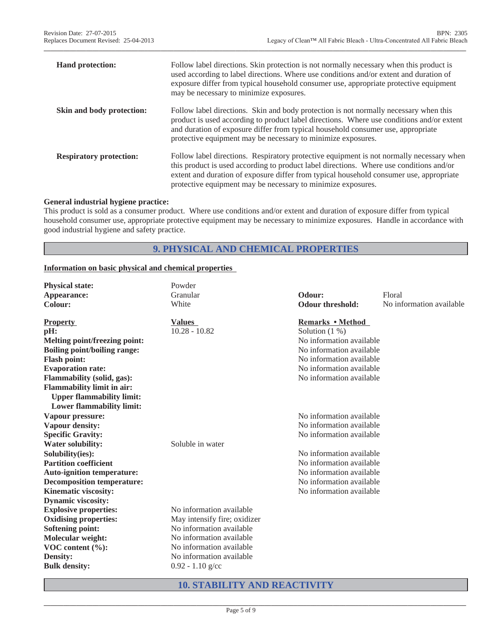| <b>Hand protection:</b>          | Follow label directions. Skin protection is not normally necessary when this product is<br>used according to label directions. Where use conditions and/or extent and duration of<br>exposure differ from typical household consumer use, appropriate protective equipment<br>may be necessary to minimize exposures.                          |
|----------------------------------|------------------------------------------------------------------------------------------------------------------------------------------------------------------------------------------------------------------------------------------------------------------------------------------------------------------------------------------------|
| <b>Skin and body protection:</b> | Follow label directions. Skin and body protection is not normally necessary when this<br>product is used according to product label directions. Where use conditions and/or extent<br>and duration of exposure differ from typical household consumer use, appropriate<br>protective equipment may be necessary to minimize exposures.         |
| <b>Respiratory protection:</b>   | Follow label directions. Respiratory protective equipment is not normally necessary when<br>this product is used according to product label directions. Where use conditions and/or<br>extent and duration of exposure differ from typical household consumer use, appropriate<br>protective equipment may be necessary to minimize exposures. |

**\_\_\_\_\_\_\_\_\_\_\_\_\_\_\_\_\_\_\_\_\_\_\_\_\_\_\_\_\_\_\_\_\_\_\_\_\_\_\_\_\_\_\_\_\_\_\_\_\_\_\_\_\_\_\_\_\_\_\_\_\_\_\_\_\_\_\_\_\_\_\_\_\_\_\_\_\_\_\_\_\_\_\_\_\_\_\_\_\_\_\_\_\_\_\_\_\_\_\_\_\_\_\_\_\_\_\_\_\_\_\_\_\_\_\_\_\_\_\_\_\_\_\_\_\_\_\_\_\_\_**

### **General industrial hygiene practice:**

This product is sold as a consumer product. Where use conditions and/or extent and duration of exposure differ from typical household consumer use, appropriate protective equipment may be necessary to minimize exposures. Handle in accordance with good industrial hygiene and safety practice.

## **9. PHYSICAL AND CHEMICAL PROPERTIES**

### **Information on basic physical and chemical properties**

| <b>Physical state:</b>              | Powder                       |                          |                          |
|-------------------------------------|------------------------------|--------------------------|--------------------------|
| Appearance:                         | Granular                     | Odour:                   | Floral                   |
| Colour:                             | White                        | <b>Odour threshold:</b>  | No information available |
| <b>Property</b>                     | <b>Values</b>                | Remarks • Method         |                          |
| pH:                                 | $10.28 - 10.82$              | Solution $(1%)$          |                          |
| Melting point/freezing point:       |                              | No information available |                          |
| <b>Boiling point/boiling range:</b> |                              | No information available |                          |
| <b>Flash point:</b>                 |                              | No information available |                          |
| <b>Evaporation rate:</b>            |                              | No information available |                          |
| Flammability (solid, gas):          |                              | No information available |                          |
| <b>Flammability limit in air:</b>   |                              |                          |                          |
| <b>Upper flammability limit:</b>    |                              |                          |                          |
| <b>Lower flammability limit:</b>    |                              |                          |                          |
| Vapour pressure:                    |                              | No information available |                          |
| Vapour density:                     |                              | No information available |                          |
| <b>Specific Gravity:</b>            |                              | No information available |                          |
| <b>Water solubility:</b>            | Soluble in water             |                          |                          |
| Solubility(ies):                    |                              | No information available |                          |
| <b>Partition coefficient</b>        |                              | No information available |                          |
| <b>Auto-ignition temperature:</b>   |                              | No information available |                          |
| <b>Decomposition temperature:</b>   |                              | No information available |                          |
| Kinematic viscosity:                |                              | No information available |                          |
| <b>Dynamic viscosity:</b>           |                              |                          |                          |
| <b>Explosive properties:</b>        | No information available     |                          |                          |
| <b>Oxidising properties:</b>        | May intensify fire; oxidizer |                          |                          |
| <b>Softening point:</b>             | No information available     |                          |                          |
| Molecular weight:                   | No information available     |                          |                          |
| VOC content (%):                    | No information available     |                          |                          |
| <b>Density:</b>                     | No information available     |                          |                          |
| <b>Bulk density:</b>                | $0.92 - 1.10$ g/cc           |                          |                          |

## **10. STABILITY AND REACTIVITY**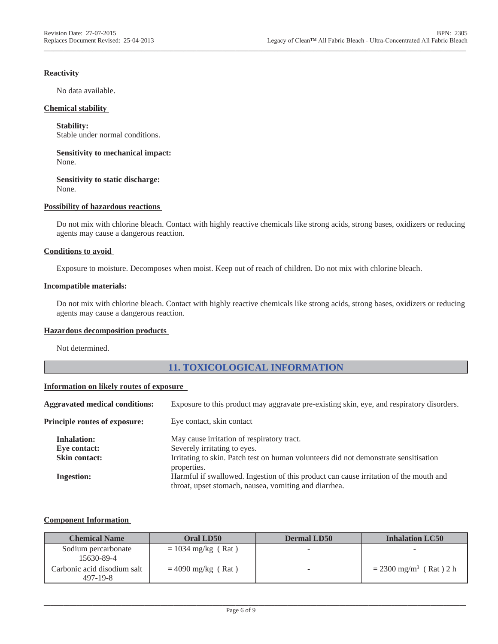### **Reactivity**

No data available.

### **Chemical stability**

**Stability:**

Stable under normal conditions.

**Sensitivity to mechanical impact:** None.

**Sensitivity to static discharge:** None.

### **Possibility of hazardous reactions**

Do not mix with chlorine bleach. Contact with highly reactive chemicals like strong acids, strong bases, oxidizers or reducing agents may cause a dangerous reaction.

**\_\_\_\_\_\_\_\_\_\_\_\_\_\_\_\_\_\_\_\_\_\_\_\_\_\_\_\_\_\_\_\_\_\_\_\_\_\_\_\_\_\_\_\_\_\_\_\_\_\_\_\_\_\_\_\_\_\_\_\_\_\_\_\_\_\_\_\_\_\_\_\_\_\_\_\_\_\_\_\_\_\_\_\_\_\_\_\_\_\_\_\_\_\_\_\_\_\_\_\_\_\_\_\_\_\_\_\_\_\_\_\_\_\_\_\_\_\_\_\_\_\_\_\_\_\_\_\_\_\_**

#### **Conditions to avoid**

Exposure to moisture. Decomposes when moist. Keep out of reach of children. Do not mix with chlorine bleach.

### **Incompatible materials:**

Do not mix with chlorine bleach. Contact with highly reactive chemicals like strong acids, strong bases, oxidizers or reducing agents may cause a dangerous reaction.

### **Hazardous decomposition products**

Not determined.

## **11. TOXICOLOGICAL INFORMATION**

#### **Information on likely routes of exposure**

| <b>Aggravated medical conditions:</b> | Exposure to this product may aggravate pre-existing skin, eye, and respiratory disorders.           |
|---------------------------------------|-----------------------------------------------------------------------------------------------------|
| Principle routes of exposure:         | Eye contact, skin contact                                                                           |
| <b>Inhalation:</b>                    | May cause irritation of respiratory tract.                                                          |
| Eye contact:                          | Severely irritating to eyes.                                                                        |
| <b>Skin contact:</b>                  | Irritating to skin. Patch test on human volunteers did not demonstrate sensitisation<br>properties. |
| <b>Ingestion:</b>                     | Harmful if swallowed. Ingestion of this product can cause irritation of the mouth and               |
|                                       | throat, upset stomach, nausea, vomiting and diarrhea.                                               |

### **Component Information**

| <b>Chemical Name</b>                    | Oral LD50            | <b>Dermal LD50</b> | <b>Inhalation LC50</b>               |
|-----------------------------------------|----------------------|--------------------|--------------------------------------|
| Sodium percarbonate<br>15630-89-4       | $= 1034$ mg/kg (Rat) |                    |                                      |
| Carbonic acid disodium salt<br>497-19-8 | $= 4090$ mg/kg (Rat) |                    | $= 2300$ mg/m <sup>3</sup> (Rat) 2 h |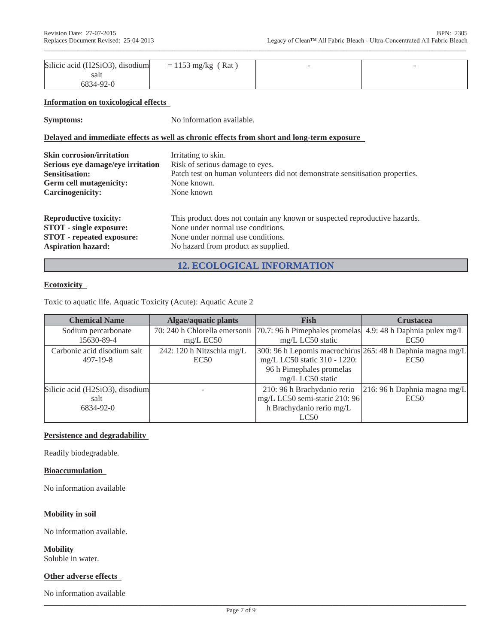| Silicic acid (H2SiO3), disodium | $= 1153 \text{ mg/kg}$ (Rat) |  |
|---------------------------------|------------------------------|--|
| salt                            |                              |  |
| 6834-92-0                       |                              |  |

**\_\_\_\_\_\_\_\_\_\_\_\_\_\_\_\_\_\_\_\_\_\_\_\_\_\_\_\_\_\_\_\_\_\_\_\_\_\_\_\_\_\_\_\_\_\_\_\_\_\_\_\_\_\_\_\_\_\_\_\_\_\_\_\_\_\_\_\_\_\_\_\_\_\_\_\_\_\_\_\_\_\_\_\_\_\_\_\_\_\_\_\_\_\_\_\_\_\_\_\_\_\_\_\_\_\_\_\_\_\_\_\_\_\_\_\_\_\_\_\_\_\_\_\_\_\_\_\_\_\_**

#### **Information on toxicological effects**

**Symptoms:** No information available.

### **Delayed and immediate effects as well as chronic effects from short and long-term exposure**

| <b>Skin corrosion/irritation</b>  | Irritating to skin.                                                          |
|-----------------------------------|------------------------------------------------------------------------------|
| Serious eye damage/eye irritation | Risk of serious damage to eyes.                                              |
| <b>Sensitisation:</b>             | Patch test on human volunteers did not demonstrate sensitisation properties. |
| Germ cell mutagenicity:           | None known.                                                                  |
| <b>Carcinogenicity:</b>           | None known                                                                   |
| <b>Reproductive toxicity:</b>     | This product does not contain any known or suspected reproductive hazards.   |
| <b>STOT</b> - single exposure:    | None under normal use conditions.                                            |
| <b>STOT</b> - repeated exposure:  | None under normal use conditions.                                            |
| <b>Aspiration hazard:</b>         | No hazard from product as supplied.                                          |

## **12. ECOLOGICAL INFORMATION**

### **Ecotoxicity**

Toxic to aquatic life. Aquatic Toxicity (Acute): Aquatic Acute 2

| <b>Chemical Name</b>            | <b>Algae/aquatic plants</b> | <b>Fish</b>                                                                                 | <b>Crustacea</b>                                           |
|---------------------------------|-----------------------------|---------------------------------------------------------------------------------------------|------------------------------------------------------------|
| Sodium percarbonate             |                             | 70: 240 h Chlorella emersonii [70.7: 96 h Pimephales promelas] 4.9: 48 h Daphnia pulex mg/L |                                                            |
| 15630-89-4                      | $mg/L$ EC50                 | mg/L LC50 static                                                                            | EC50                                                       |
| Carbonic acid disodium salt     | 242: 120 h Nitzschia mg/L   |                                                                                             | 300: 96 h Lepomis macrochirus 265: 48 h Daphnia magna mg/L |
| $497 - 19 - 8$                  | EC50                        | mg/L LC50 static 310 - 1220:                                                                | EC50                                                       |
|                                 |                             | 96 h Pimephales promelas                                                                    |                                                            |
|                                 |                             | mg/L LC50 static                                                                            |                                                            |
| Silicic acid (H2SiO3), disodium |                             | 210: 96 h Brachydanio rerio                                                                 | $216:96 h$ Daphnia magna mg/L                              |
| salt                            |                             | mg/L LC50 semi-static 210: 96                                                               | EC50                                                       |
| 6834-92-0                       |                             | h Brachydanio rerio mg/L                                                                    |                                                            |
|                                 |                             | LC50                                                                                        |                                                            |

### **Persistence and degradability**

Readily biodegradable.

### **Bioaccumulation**

No information available

### **Mobility in soil**

No information available.

**Mobility** Soluble in water.

### **Other adverse effects**

No information available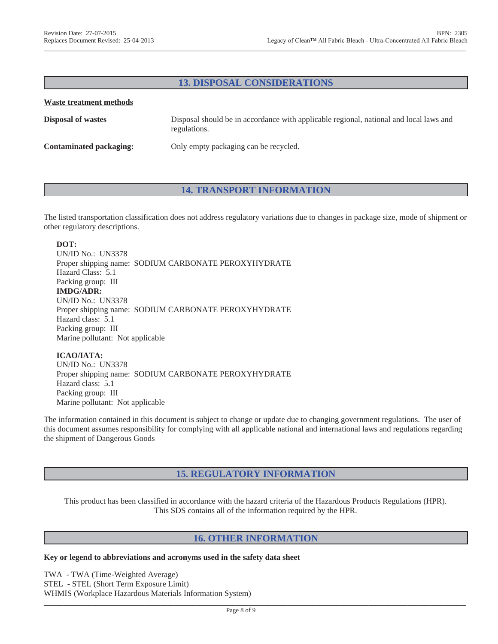## **13. DISPOSAL CONSIDERATIONS**

**\_\_\_\_\_\_\_\_\_\_\_\_\_\_\_\_\_\_\_\_\_\_\_\_\_\_\_\_\_\_\_\_\_\_\_\_\_\_\_\_\_\_\_\_\_\_\_\_\_\_\_\_\_\_\_\_\_\_\_\_\_\_\_\_\_\_\_\_\_\_\_\_\_\_\_\_\_\_\_\_\_\_\_\_\_\_\_\_\_\_\_\_\_\_\_\_\_\_\_\_\_\_\_\_\_\_\_\_\_\_\_\_\_\_\_\_\_\_\_\_\_\_\_\_\_\_\_\_\_\_**

#### **Waste treatment methods**

| <b>Disposal of wastes</b> | Disposal should be in accordance with applicable regional, national and local laws and<br>regulations. |
|---------------------------|--------------------------------------------------------------------------------------------------------|
| Contaminated packaging:   | Only empty packaging can be recycled.                                                                  |

### **14. TRANSPORT INFORMATION**

The listed transportation classification does not address regulatory variations due to changes in package size, mode of shipment or other regulatory descriptions.

### **DOT:**

UN/ID No.: UN3378 Proper shipping name: SODIUM CARBONATE PEROXYHYDRATE Hazard Class: 5.1 Packing group: III **IMDG/ADR:** UN/ID No.: UN3378 Proper shipping name: SODIUM CARBONATE PEROXYHYDRATE Hazard class: 5.1 Packing group: III Marine pollutant: Not applicable

### **ICAO/IATA:**

UN/ID No.: UN3378 Proper shipping name: SODIUM CARBONATE PEROXYHYDRATE Hazard class: 5.1 Packing group: III Marine pollutant: Not applicable

The information contained in this document is subject to change or update due to changing government regulations. The user of this document assumes responsibility for complying with all applicable national and international laws and regulations regarding the shipment of Dangerous Goods

## **15. REGULATORY INFORMATION**

This product has been classified in accordance with the hazard criteria of the Hazardous Products Regulations (HPR). This SDS contains all of the information required by the HPR.

### **16. OTHER INFORMATION**

#### **Key or legend to abbreviations and acronyms used in the safety data sheet**

TWA - TWA (Time-Weighted Average) STEL - STEL (Short Term Exposure Limit) WHMIS (Workplace Hazardous Materials Information System)